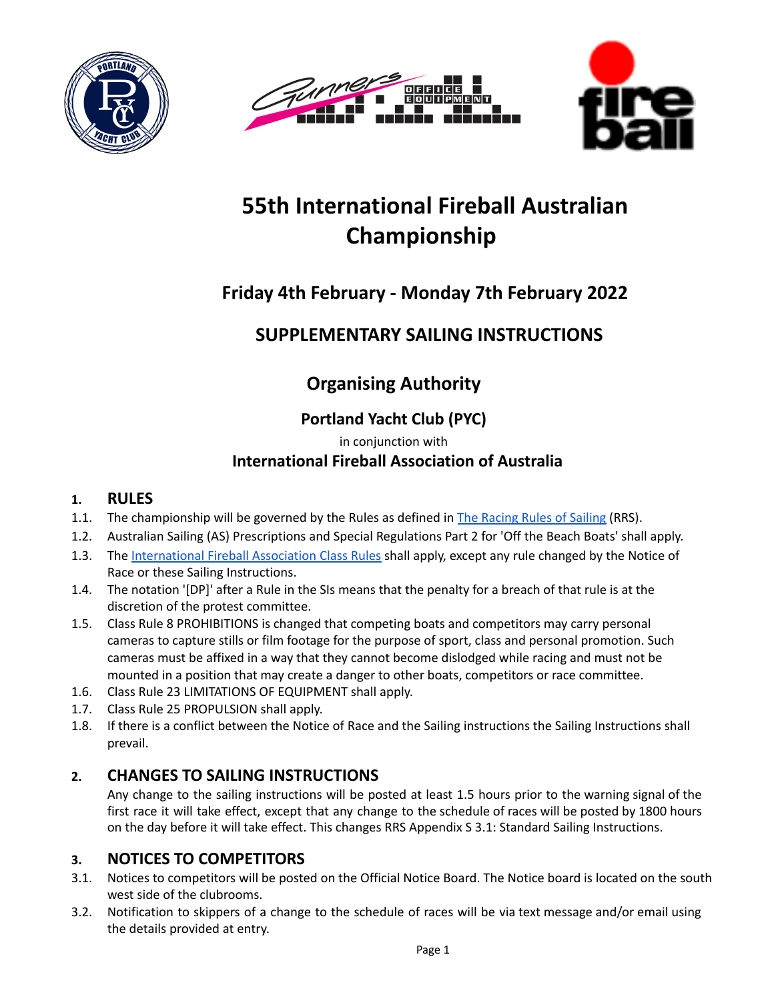





# **55th International Fireball Australian Championship**

## **Friday 4th February - Monday 7th February 2022**

## **SUPPLEMENTARY SAILING INSTRUCTIONS**

## **Organising Authority**

## **Portland Yacht Club (PYC)**

in conjunction with

## **International Fireball Association of Australia**

## **1. RULES**

- 1.1. The championship will be governed by the Rules as defined in The [Racing](https://cdn.revolutionise.com.au/site/hrya1mz0ijmfcshb.pdf) Rules of Sailing (RRS).
- 1.2. Australian Sailing (AS) Prescriptions and Special Regulations Part 2 for 'Off the Beach Boats' shall apply.
- 1.3. The [International](https://www.fireball-international.com/media/87171/IFCR2021.pdf) Fireball Association Class Rules shall apply, except any rule changed by the Notice of Race or these Sailing Instructions.
- 1.4. The notation '[DP]' after a Rule in the SIs means that the penalty for a breach of that rule is at the discretion of the protest committee.
- 1.5. Class Rule 8 PROHIBITIONS is changed that competing boats and competitors may carry personal cameras to capture stills or film footage for the purpose of sport, class and personal promotion. Such cameras must be affixed in a way that they cannot become dislodged while racing and must not be mounted in a position that may create a danger to other boats, competitors or race committee.
- 1.6. Class Rule 23 LIMITATIONS OF EQUIPMENT shall apply.
- 1.7. Class Rule 25 PROPULSION shall apply.
- 1.8. If there is a conflict between the Notice of Race and the Sailing instructions the Sailing Instructions shall prevail.

## **2. CHANGES TO SAILING INSTRUCTIONS**

Any change to the sailing instructions will be posted at least 1.5 hours prior to the warning signal of the first race it will take effect, except that any change to the schedule of races will be posted by 1800 hours on the day before it will take effect. This changes RRS Appendix S 3.1: Standard Sailing Instructions.

## **3. NOTICES TO COMPETITORS**

- 3.1. Notices to competitors will be posted on the Official Notice Board. The Notice board is located on the south west side of the clubrooms.
- 3.2. Notification to skippers of a change to the schedule of races will be via text message and/or email using the details provided at entry.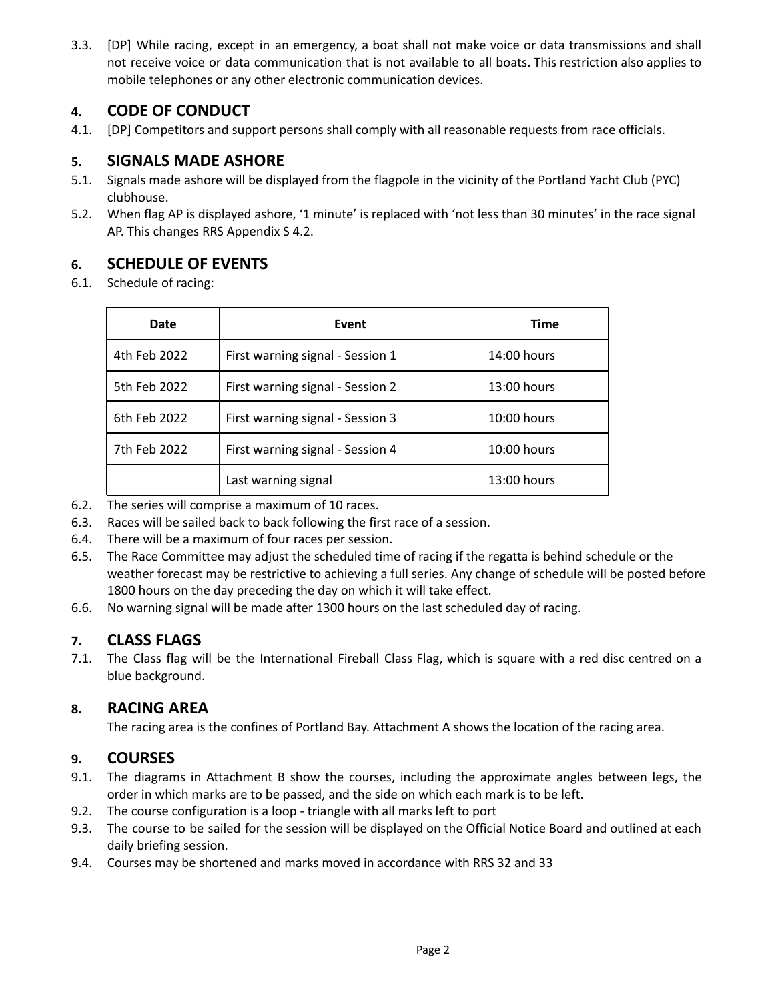3.3. [DP] While racing, except in an emergency, a boat shall not make voice or data transmissions and shall not receive voice or data communication that is not available to all boats. This restriction also applies to mobile telephones or any other electronic communication devices.

## **4. CODE OF CONDUCT**

4.1. [DP] Competitors and support persons shall comply with all reasonable requests from race officials.

## **5. SIGNALS MADE ASHORE**

- 5.1. Signals made ashore will be displayed from the flagpole in the vicinity of the Portland Yacht Club (PYC) clubhouse.
- 5.2. When flag AP is displayed ashore, '1 minute' is replaced with 'not less than 30 minutes' in the race signal AP. This changes RRS Appendix S 4.2.

## **6. SCHEDULE OF EVENTS**

6.1. Schedule of racing:

| Date         | Event                            | <b>Time</b> |
|--------------|----------------------------------|-------------|
| 4th Feb 2022 | First warning signal - Session 1 | 14:00 hours |
| 5th Feb 2022 | First warning signal - Session 2 | 13:00 hours |
| 6th Feb 2022 | First warning signal - Session 3 | 10:00 hours |
| 7th Feb 2022 | First warning signal - Session 4 | 10:00 hours |
|              | Last warning signal              | 13:00 hours |

- 6.2. The series will comprise a maximum of 10 races.
- 6.3. Races will be sailed back to back following the first race of a session.
- 6.4. There will be a maximum of four races per session.
- 6.5. The Race Committee may adjust the scheduled time of racing if the regatta is behind schedule or the weather forecast may be restrictive to achieving a full series. Any change of schedule will be posted before 1800 hours on the day preceding the day on which it will take effect.
- 6.6. No warning signal will be made after 1300 hours on the last scheduled day of racing.

## **7. CLASS FLAGS**

7.1. The Class flag will be the International Fireball Class Flag, which is square with a red disc centred on a blue background.

## **8. RACING AREA**

The racing area is the confines of Portland Bay. Attachment A shows the location of the racing area.

#### **9. COURSES**

- 9.1. The diagrams in Attachment B show the courses, including the approximate angles between legs, the order in which marks are to be passed, and the side on which each mark is to be left.
- 9.2. The course configuration is a loop triangle with all marks left to port
- 9.3. The course to be sailed for the session will be displayed on the Official Notice Board and outlined at each daily briefing session.
- 9.4. Courses may be shortened and marks moved in accordance with RRS 32 and 33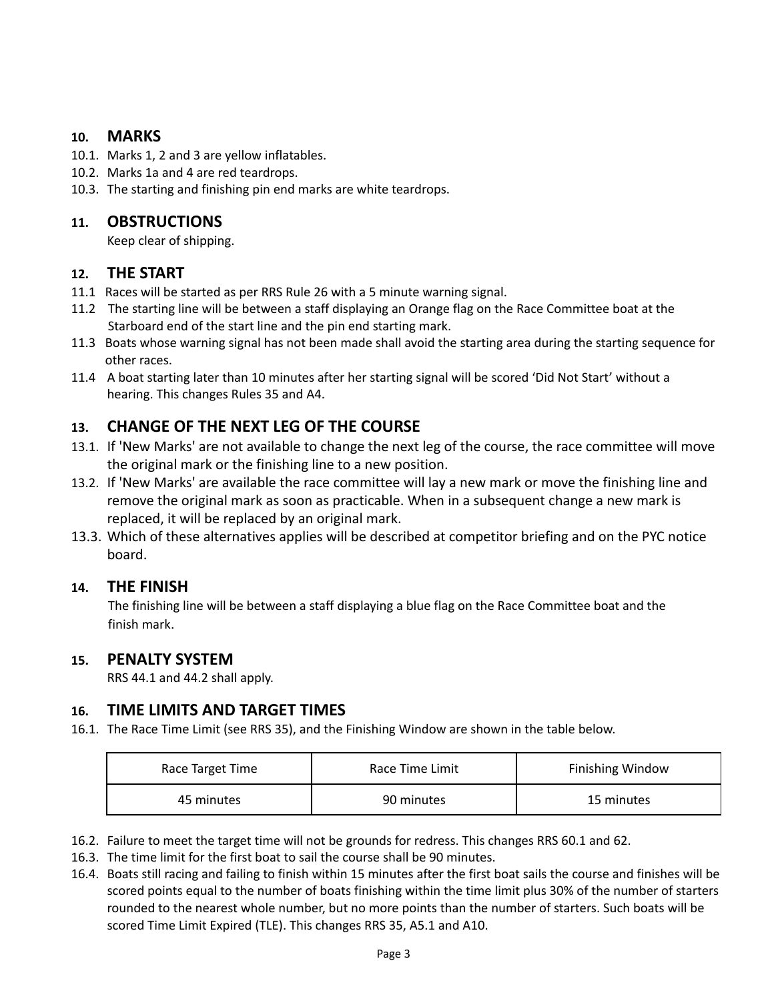#### **10. MARKS**

- 10.1. Marks 1, 2 and 3 are yellow inflatables.
- 10.2. Marks 1a and 4 are red teardrops.
- 10.3. The starting and finishing pin end marks are white teardrops.

#### **11. OBSTRUCTIONS**

Keep clear of shipping.

#### **12. THE START**

- 11.1 Races will be started as per RRS Rule 26 with a 5 minute warning signal.
- 11.2 The starting line will be between a staff displaying an Orange flag on the Race Committee boat at the Starboard end of the start line and the pin end starting mark.
- 11.3 Boats whose warning signal has not been made shall avoid the starting area during the starting sequence for other races.
- 11.4 A boat starting later than 10 minutes after her starting signal will be scored 'Did Not Start' without a hearing. This changes Rules 35 and A4.

## **13. CHANGE OF THE NEXT LEG OF THE COURSE**

- 13.1. If 'New Marks' are not available to change the next leg of the course, the race committee will move the original mark or the finishing line to a new position.
- 13.2. If 'New Marks' are available the race committee will lay a new mark or move the finishing line and remove the original mark as soon as practicable. When in a subsequent change a new mark is replaced, it will be replaced by an original mark.
- 13.3. Which of these alternatives applies will be described at competitor briefing and on the PYC notice board.

#### **14. THE FINISH**

The finishing line will be between a staff displaying a blue flag on the Race Committee boat and the finish mark.

#### **15. PENALTY SYSTEM**

RRS 44.1 and 44.2 shall apply.

#### **16. TIME LIMITS AND TARGET TIMES**

16.1. The Race Time Limit (see RRS 35), and the Finishing Window are shown in the table below.

| Race Target Time | Race Time Limit | <b>Finishing Window</b> |
|------------------|-----------------|-------------------------|
| 45 minutes       | 90 minutes      | 15 minutes              |

- 16.2. Failure to meet the target time will not be grounds for redress. This changes RRS 60.1 and 62.
- 16.3. The time limit for the first boat to sail the course shall be 90 minutes.
- 16.4. Boats still racing and failing to finish within 15 minutes after the first boat sails the course and finishes will be scored points equal to the number of boats finishing within the time limit plus 30% of the number of starters rounded to the nearest whole number, but no more points than the number of starters. Such boats will be scored Time Limit Expired (TLE). This changes RRS 35, A5.1 and A10.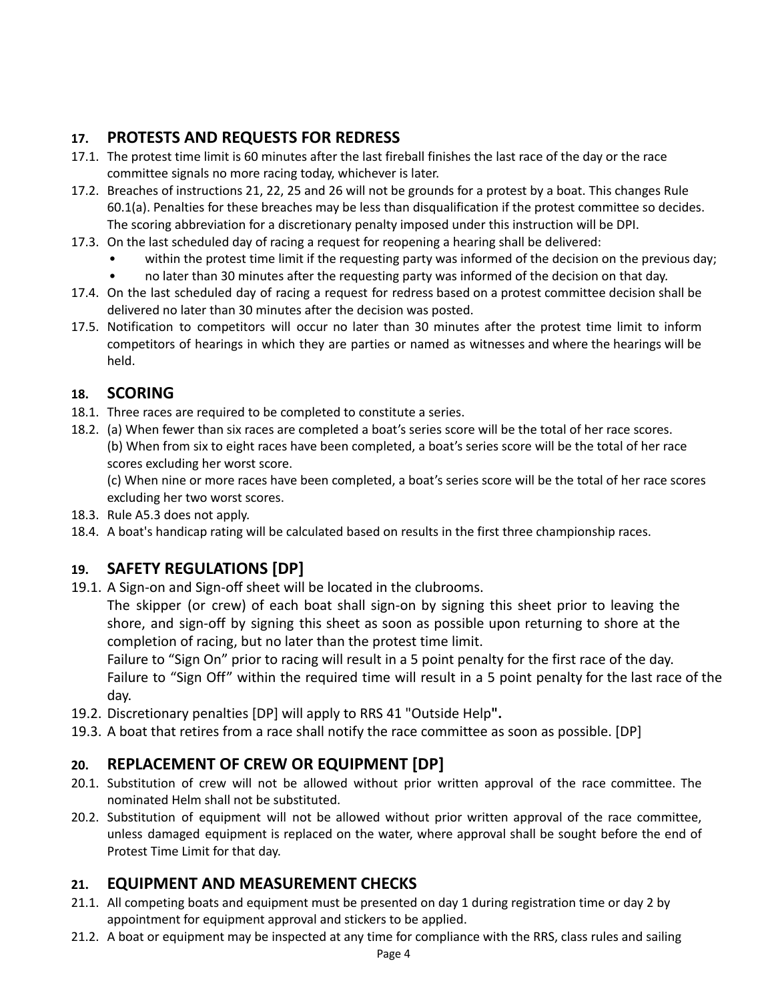## **17. PROTESTS AND REQUESTS FOR REDRESS**

- 17.1. The protest time limit is 60 minutes after the last fireball finishes the last race of the day or the race committee signals no more racing today, whichever is later.
- 17.2. Breaches of instructions 21, 22, 25 and 26 will not be grounds for a protest by a boat. This changes Rule 60.1(a). Penalties for these breaches may be less than disqualification if the protest committee so decides. The scoring abbreviation for a discretionary penalty imposed under this instruction will be DPI.
- 17.3. On the last scheduled day of racing a request for reopening a hearing shall be delivered:
	- within the protest time limit if the requesting party was informed of the decision on the previous day;
	- no later than 30 minutes after the requesting party was informed of the decision on that day.
- 17.4. On the last scheduled day of racing a request for redress based on a protest committee decision shall be delivered no later than 30 minutes after the decision was posted.
- 17.5. Notification to competitors will occur no later than 30 minutes after the protest time limit to inform competitors of hearings in which they are parties or named as witnesses and where the hearings will be held.

## **18. SCORING**

- 18.1. Three races are required to be completed to constitute a series.
- 18.2. (a) When fewer than six races are completed a boat's series score will be the total of her race scores. (b) When from six to eight races have been completed, a boat's series score will be the total of her race scores excluding her worst score.

(c) When nine or more races have been completed, a boat's series score will be the total of her race scores excluding her two worst scores.

- 18.3. Rule A5.3 does not apply.
- 18.4. A boat's handicap rating will be calculated based on results in the first three championship races.

## **19. SAFETY REGULATIONS [DP]**

19.1. A Sign-on and Sign-off sheet will be located in the clubrooms.

The skipper (or crew) of each boat shall sign-on by signing this sheet prior to leaving the shore, and sign-off by signing this sheet as soon as possible upon returning to shore at the completion of racing, but no later than the protest time limit.

Failure to "Sign On" prior to racing will result in a 5 point penalty for the first race of the day. Failure to "Sign Off" within the required time will result in a 5 point penalty for the last race of the day.

- 19.2. Discretionary penalties [DP] will apply to RRS 41 "Outside Help**".**
- 19.3. A boat that retires from a race shall notify the race committee as soon as possible. [DP]

## **20. REPLACEMENT OF CREW OR EQUIPMENT [DP]**

- 20.1. Substitution of crew will not be allowed without prior written approval of the race committee. The nominated Helm shall not be substituted.
- 20.2. Substitution of equipment will not be allowed without prior written approval of the race committee, unless damaged equipment is replaced on the water, where approval shall be sought before the end of Protest Time Limit for that day.

## **21. EQUIPMENT AND MEASUREMENT CHECKS**

- 21.1. All competing boats and equipment must be presented on day 1 during registration time or day 2 by appointment for equipment approval and stickers to be applied.
- 21.2. A boat or equipment may be inspected at any time for compliance with the RRS, class rules and sailing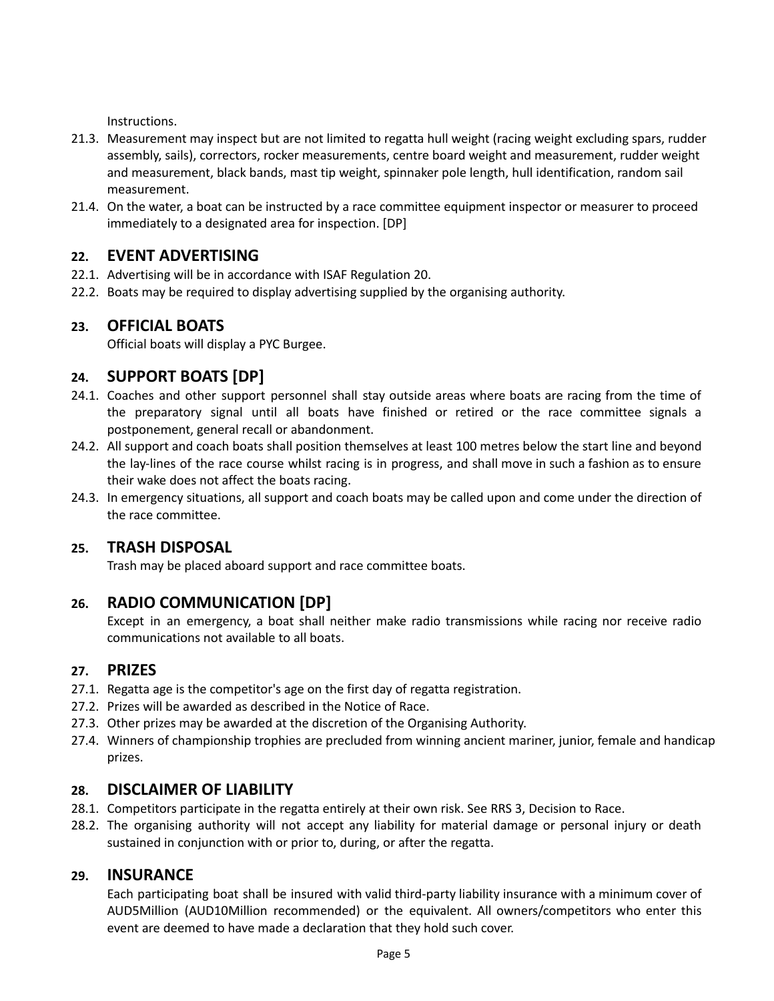Instructions.

- 21.3. Measurement may inspect but are not limited to regatta hull weight (racing weight excluding spars, rudder assembly, sails), correctors, rocker measurements, centre board weight and measurement, rudder weight and measurement, black bands, mast tip weight, spinnaker pole length, hull identification, random sail measurement.
- 21.4. On the water, a boat can be instructed by a race committee equipment inspector or measurer to proceed immediately to a designated area for inspection. [DP]

## **22. EVENT ADVERTISING**

- 22.1. Advertising will be in accordance with ISAF Regulation 20.
- 22.2. Boats may be required to display advertising supplied by the organising authority.

## **23. OFFICIAL BOATS**

Official boats will display a PYC Burgee.

## **24. SUPPORT BOATS [DP]**

- 24.1. Coaches and other support personnel shall stay outside areas where boats are racing from the time of the preparatory signal until all boats have finished or retired or the race committee signals a postponement, general recall or abandonment.
- 24.2. All support and coach boats shall position themselves at least 100 metres below the start line and beyond the lay-lines of the race course whilst racing is in progress, and shall move in such a fashion as to ensure their wake does not affect the boats racing.
- 24.3. In emergency situations, all support and coach boats may be called upon and come under the direction of the race committee.

## **25. TRASH DISPOSAL**

Trash may be placed aboard support and race committee boats.

## **26. RADIO COMMUNICATION [DP]**

Except in an emergency, a boat shall neither make radio transmissions while racing nor receive radio communications not available to all boats.

#### **27. PRIZES**

- 27.1. Regatta age is the competitor's age on the first day of regatta registration.
- 27.2. Prizes will be awarded as described in the Notice of Race.
- 27.3. Other prizes may be awarded at the discretion of the Organising Authority.
- 27.4. Winners of championship trophies are precluded from winning ancient mariner, junior, female and handicap prizes.

## **28. DISCLAIMER OF LIABILITY**

- 28.1. Competitors participate in the regatta entirely at their own risk. See RRS 3, Decision to Race.
- 28.2. The organising authority will not accept any liability for material damage or personal injury or death sustained in conjunction with or prior to, during, or after the regatta.

## **29. INSURANCE**

Each participating boat shall be insured with valid third-party liability insurance with a minimum cover of AUD5Million (AUD10Million recommended) or the equivalent. All owners/competitors who enter this event are deemed to have made a declaration that they hold such cover.